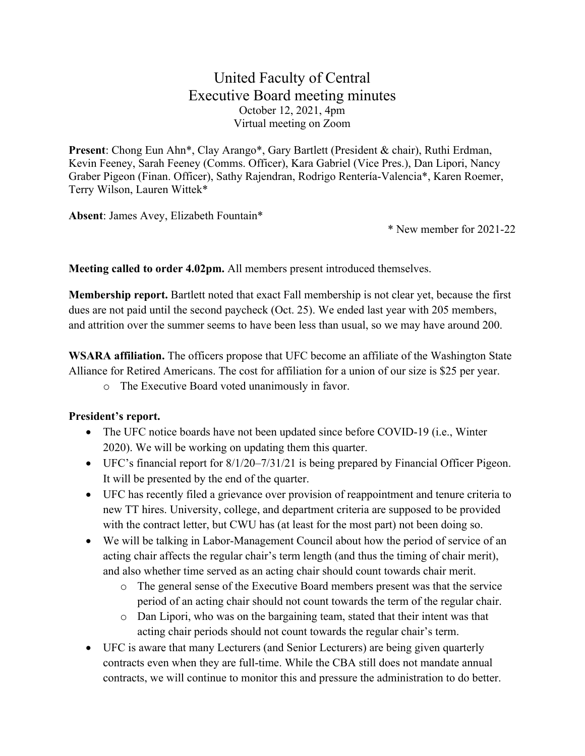## United Faculty of Central Executive Board meeting minutes October 12, 2021, 4pm Virtual meeting on Zoom

**Present**: Chong Eun Ahn\*, Clay Arango\*, Gary Bartlett (President & chair), Ruthi Erdman, Kevin Feeney, Sarah Feeney (Comms. Officer), Kara Gabriel (Vice Pres.), Dan Lipori, Nancy Graber Pigeon (Finan. Officer), Sathy Rajendran, Rodrigo Rentería-Valencia\*, Karen Roemer, Terry Wilson, Lauren Wittek\*

**Absent**: James Avey, Elizabeth Fountain\*

\* New member for 2021-22

**Meeting called to order 4.02pm.** All members present introduced themselves.

**Membership report.** Bartlett noted that exact Fall membership is not clear yet, because the first dues are not paid until the second paycheck (Oct. 25). We ended last year with 205 members, and attrition over the summer seems to have been less than usual, so we may have around 200.

**WSARA affiliation.** The officers propose that UFC become an affiliate of the Washington State Alliance for Retired Americans. The cost for affiliation for a union of our size is \$25 per year.

o The Executive Board voted unanimously in favor.

## **President's report.**

- The UFC notice boards have not been updated since before COVID-19 (i.e., Winter 2020). We will be working on updating them this quarter.
- UFC's financial report for 8/1/20–7/31/21 is being prepared by Financial Officer Pigeon. It will be presented by the end of the quarter.
- UFC has recently filed a grievance over provision of reappointment and tenure criteria to new TT hires. University, college, and department criteria are supposed to be provided with the contract letter, but CWU has (at least for the most part) not been doing so.
- We will be talking in Labor-Management Council about how the period of service of an acting chair affects the regular chair's term length (and thus the timing of chair merit), and also whether time served as an acting chair should count towards chair merit.
	- o The general sense of the Executive Board members present was that the service period of an acting chair should not count towards the term of the regular chair.
	- o Dan Lipori, who was on the bargaining team, stated that their intent was that acting chair periods should not count towards the regular chair's term.
- UFC is aware that many Lecturers (and Senior Lecturers) are being given quarterly contracts even when they are full-time. While the CBA still does not mandate annual contracts, we will continue to monitor this and pressure the administration to do better.